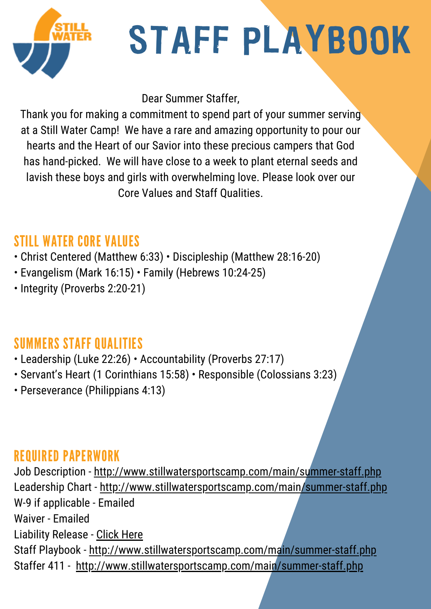

# STAFF PLAYBOOK

Dear Summer Staffer,

Thank you for making a commitment to spend part of your summer serving at a Still Water Camp! We have a rare and amazing opportunity to pour our hearts and the Heart of our Savior into these precious campers that God has hand-picked. We will have close to a week to plant eternal seeds and lavish these boys and girls with overwhelming love. Please look over our Core Values and Staff Qualities.

## STILL WATER CORE VALUES

- Christ Centered (Matthew 6:33) Discipleship (Matthew 28:16-20)
- Evangelism (Mark 16:15) Family (Hebrews 10:24-25)
- Integrity (Proverbs 2:20-21)

## SUMMERS STAFF QUALITIES

- Leadership (Luke 22:26) Accountability (Proverbs 27:17)
- Servant's Heart (1 Corinthians 15:58) Responsible (Colossians 3:23)
- Perseverance (Philippians 4:13)

#### REQUIRED PAPERWORK

Job Description - http://www.stillwatersportscamp.com/main/summer-staff.php Leadership Chart - http://www.stillwatersportscamp.com/main/summer-staff.php W-9 if applicable - Emailed Waiver - Emailed Liability Release - Click Here Staff Playbook - http://www.stillwatersportscamp.com/main/summer-staff.php Staffer 411 - http://www.stillwatersportscamp.com/main/summer-staff.php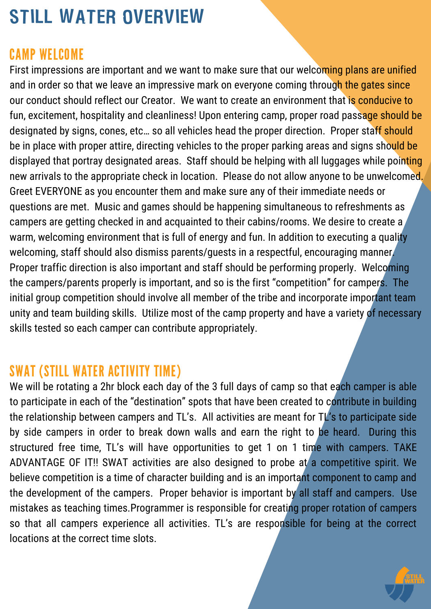# STILL WATER OVERVIEW

#### CAMP WELCOME

First impressions are important and we want to make sure that our welcoming plans are unified and in order so that we leave an impressive mark on everyone coming through the gates since our conduct should reflect our Creator. We want to create an environment that is conducive to fun, excitement, hospitality and cleanliness! Upon entering camp, proper road passage should be designated by signs, cones, etc... so all vehicles head the proper direction. Proper staff should be in place with proper attire, directing vehicles to the proper parking areas and signs should be displayed that portray designated areas. Staff should be helping with all luggages while pointing new arrivals to the appropriate check in location. Please do not allow anyone to be unwelcomed. Greet EVERYONE as you encounter them and make sure any of their immediate needs or questions are met. Music and games should be happening simultaneous to refreshments as campers are getting checked in and acquainted to their cabins/rooms. We desire to create a warm, welcoming environment that is full of energy and fun. In addition to executing a quality welcoming, staff should also dismiss parents/guests in a respectful, encouraging manner. Proper traffic direction is also important and staff should be performing properly. Welcoming the campers/parents properly is important, and so is the first "competition" for campers. The initial group competition should involve all member of the tribe and incorporate important team unity and team building skills. Utilize most of the camp property and have a variety of necessary skills tested so each camper can contribute appropriately.

#### SWAT (STILL WATER ACTIVITY TIME)

We will be rotating a 2hr block each day of the 3 full days of camp so that each camper is able to participate in each of the "destination" spots that have been created to contribute in building the relationship between campers and TL's. All activities are meant for TL's to participate side by side campers in order to break down walls and earn the right to be heard. During this structured free time, TL's will have opportunities to get 1 on 1 time with campers. TAKE ADVANTAGE OF IT!! SWAT activities are also designed to probe at a competitive spirit. We believe competition is a time of character building and is an important component to camp and the development of the campers. Proper behavior is important by all staff and campers. Use mistakes as teaching times.Programmer is responsible for creating proper rotation of campers so that all campers experience all activities. TL's are responsible for being at the correct locations at the correct time slots.

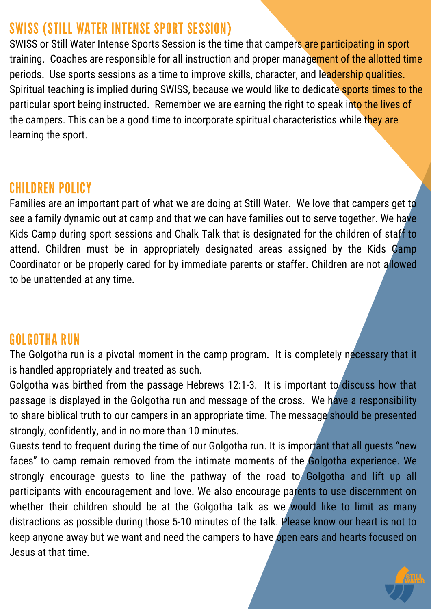#### SWISS (STILL WATER INTENSE SPORT SESSION)

SWISS or Still Water Intense Sports Session is the time that campers are participating in sport training. Coaches are responsible for all instruction and proper management of the allotted time periods. Use sports sessions as a time to improve skills, character, and leadership qualities. Spiritual teaching is implied during SWISS, because we would like to dedicate sports times to the particular sport being instructed. Remember we are earning the right to speak into the lives of the campers. This can be a good time to incorporate spiritual characteristics while they are learning the sport.

#### CHILDREN POLICY

Families are an important part of what we are doing at Still Water. We love that campers get to see a family dynamic out at camp and that we can have families out to serve together. We have Kids Camp during sport sessions and Chalk Talk that is designated for the children of staff to attend. Children must be in appropriately designated areas assigned by the Kids Camp Coordinator or be properly cared for by immediate parents or staffer. Children are not allowed to be unattended at any time.

## GOLGOTHA RUN

The Golgotha run is a pivotal moment in the camp program. It is completely necessary that it is handled appropriately and treated as such.

Golgotha was birthed from the passage Hebrews 12:1-3. It is important to discuss how that passage is displayed in the Golgotha run and message of the cross. We have a responsibility to share biblical truth to our campers in an appropriate time. The message should be presented strongly, confidently, and in no more than 10 minutes.

Guests tend to frequent during the time of our Golgotha run. It is important that all guests "new faces" to camp remain removed from the intimate moments of the Golgotha experience. We strongly encourage guests to line the pathway of the road to Golgotha and lift up all participants with encouragement and love. We also encourage parents to use discernment on whether their children should be at the Golgotha talk as we would like to limit as many distractions as possible during those 5-10 minutes of the talk. Please know our heart is not to keep anyone away but we want and need the campers to have open ears and hearts focused on Jesus at that time.

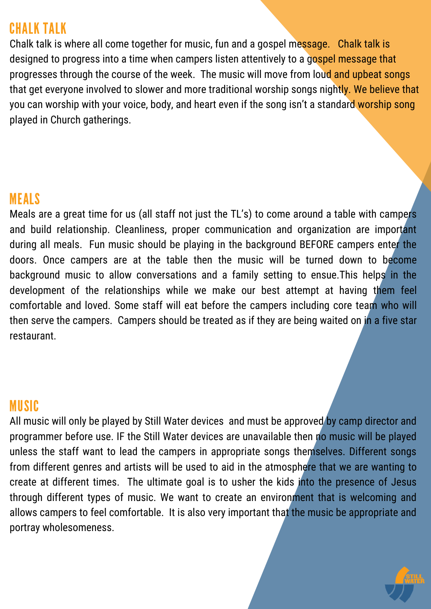#### CHALK TALK

Chalk talk is where all come together for music, fun and a gospel message. Chalk talk is designed to progress into a time when campers listen attentively to a gospel message that progresses through the course of the week. The music will move from loud and upbeat songs that get everyone involved to slower and more traditional worship songs nightly. We believe that you can worship with your voice, body, and heart even if the song isn't a standard worship song played in Church gatherings.

#### MEALS

Meals are a great time for us (all staff not just the TL's) to come around a table with campers and build relationship. Cleanliness, proper communication and organization are important during all meals. Fun music should be playing in the background BEFORE campers enter the doors. Once campers are at the table then the music will be turned down to become background music to allow conversations and a family setting to ensue.This helps in the development of the relationships while we make our best attempt at having them feel comfortable and loved. Some staff will eat before the campers including core team who will then serve the campers. Campers should be treated as if they are being waited on in a five star restaurant.

#### MUSIC

All music will only be played by Still Water devices and must be approved by camp director and programmer before use. IF the Still Water devices are unavailable then no music will be played unless the staff want to lead the campers in appropriate songs themselves. Different songs from different genres and artists will be used to aid in the atmosphere that we are wanting to create at different times. The ultimate goal is to usher the kids into the presence of Jesus through different types of music. We want to create an environment that is welcoming and allows campers to feel comfortable. It is also very important that the music be appropriate and portray wholesomeness.

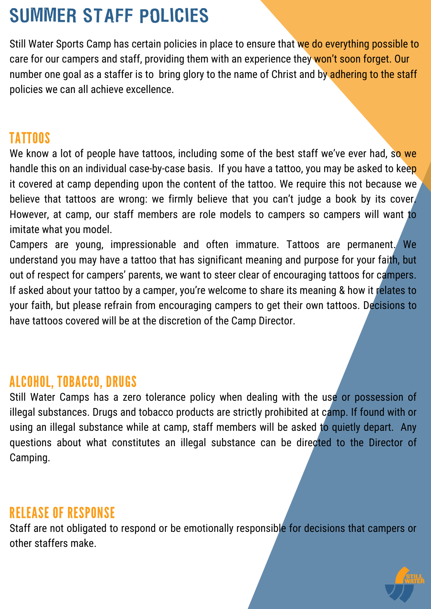# SUMMER STAFF POLICIES

Still Water Sports Camp has certain policies in place to ensure that we do everything possible to care for our campers and staff, providing them with an experience they won't soon forget. Our number one goal as a staffer is to bring glory to the name of Christ and by adhering to the staff policies we can all achieve excellence.

#### TATTOOS

We know a lot of people have tattoos, including some of the best staff we've ever had, so we handle this on an individual case-by-case basis. If you have a tattoo, you may be asked to keep it covered at camp depending upon the content of the tattoo. We require this not because we believe that tattoos are wrong: we firmly believe that you can't judge a book by its cover. However, at camp, our staff members are role models to campers so campers will want to imitate what you model.

Campers are young, impressionable and often immature. Tattoos are permanent. We understand you may have a tattoo that has significant meaning and purpose for your faith, but out of respect for campers' parents, we want to steer clear of encouraging tattoos for campers. If asked about your tattoo by a camper, you're welcome to share its meaning & how it relates to your faith, but please refrain from encouraging campers to get their own tattoos. Decisions to have tattoos covered will be at the discretion of the Camp Director.

#### ALCOHOL, TOBACCO, DRUGS

Still Water Camps has a zero tolerance policy when dealing with the use or possession of illegal substances. Drugs and tobacco products are strictly prohibited at camp. If found with or using an illegal substance while at camp, staff members will be asked to quietly depart. Any questions about what constitutes an illegal substance can be directed to the Director of Camping.

#### RELEASE OF RESPONSE

Staff are not obligated to respond or be emotionally responsible for decisions that campers or other staffers make.

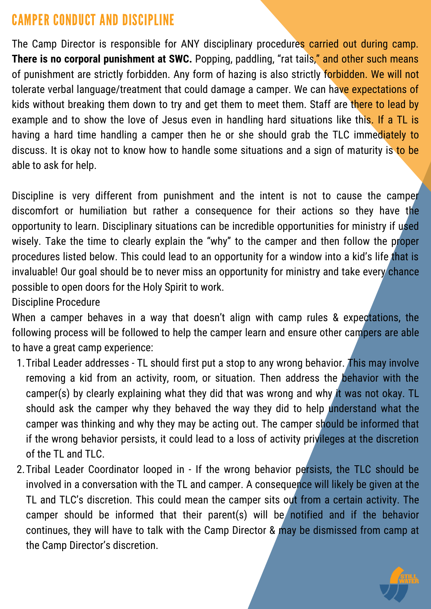## CAMPER CONDUCT AND DISCIPLINE

The Camp Director is responsible for ANY disciplinary procedures carried out during camp. **There is no corporal punishment at SWC.** Popping, paddling, "rat tails," and other such means of punishment are strictly forbidden. Any form of hazing is also strictly forbidden. We will not tolerate verbal language/treatment that could damage a camper. We can have expectations of kids without breaking them down to try and get them to meet them. Staff are there to lead by example and to show the love of Jesus even in handling hard situations like this. If a TL is having a hard time handling a camper then he or she should grab the TLC immediately to discuss. It is okay not to know how to handle some situations and a sign of maturity is to be able to ask for help.

Discipline is very different from punishment and the intent is not to cause the camper discomfort or humiliation but rather a consequence for their actions so they have the opportunity to learn. Disciplinary situations can be incredible opportunities for ministry if used wisely. Take the time to clearly explain the "why" to the camper and then follow the proper procedures listed below. This could lead to an opportunity for a window into a kid's life that is invaluable! Our goal should be to never miss an opportunity for ministry and take every chance possible to open doors for the Holy Spirit to work.

Discipline Procedure

When a camper behaves in a way that doesn't align with camp rules & expectations, the following process will be followed to help the camper learn and ensure other campers are able to have a great camp experience:

- 1. Tribal Leader addresses TL should first put a stop to any wrong behavior. This may involve removing a kid from an activity, room, or situation. Then address the behavior with the camper(s) by clearly explaining what they did that was wrong and why it was not okay. TL should ask the camper why they behaved the way they did to help understand what the camper was thinking and why they may be acting out. The camper should be informed that if the wrong behavior persists, it could lead to a loss of activity privileges at the discretion of the TL and TLC.
- 2. Tribal Leader Coordinator looped in If the wrong behavior persists, the TLC should be involved in a conversation with the TL and camper. A consequence will likely be given at the TL and TLC's discretion. This could mean the camper sits out from a certain activity. The camper should be informed that their parent(s) will be notified and if the behavior continues, they will have to talk with the Camp Director & may be dismissed from camp at the Camp Director's discretion.

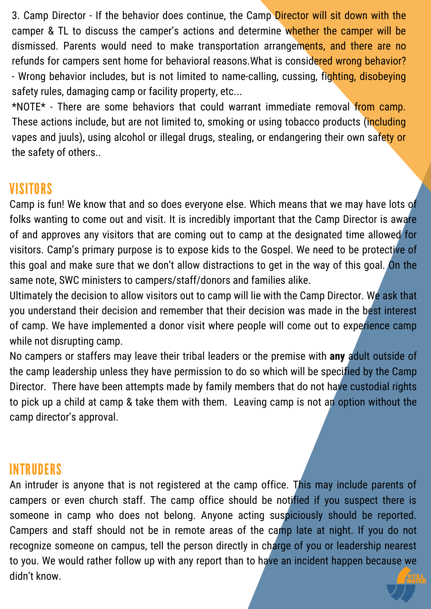3. Camp Director - If the behavior does continue, the Camp Director will sit down with the camper & TL to discuss the camper's actions and determine whether the camper will be dismissed. Parents would need to make transportation arrangements, and there are no refunds for campers sent home for behavioral reasons.What is considered wrong behavior? - Wrong behavior includes, but is not limited to name-calling, cussing, fighting, disobeying safety rules, damaging camp or facility property, etc...

\*NOTE\* - There are some behaviors that could warrant immediate removal from camp. These actions include, but are not limited to, smoking or using tobacco products (including vapes and juuls), using alcohol or illegal drugs, stealing, or endangering their own safety or the safety of others..

#### **VISITORS**

Camp is fun! We know that and so does everyone else. Which means that we may have lots of folks wanting to come out and visit. It is incredibly important that the Camp Director is aware of and approves any visitors that are coming out to camp at the designated time allowed for visitors. Camp's primary purpose is to expose kids to the Gospel. We need to be protective of this goal and make sure that we don't allow distractions to get in the way of this goal. On the same note, SWC ministers to campers/staff/donors and families alike.

Ultimately the decision to allow visitors out to camp will lie with the Camp Director. We ask that you understand their decision and remember that their decision was made in the best interest of camp. We have implemented a donor visit where people will come out to experience camp while not disrupting camp.

No campers or staffers may leave their tribal leaders or the premise with **any** adult outside of the camp leadership unless they have permission to do so which will be specified by the Camp Director. There have been attempts made by family members that do not have custodial rights to pick up a child at camp & take them with them. Leaving camp is not an option without the camp director's approval.

#### INTRUDERS

An intruder is anyone that is not registered at the camp office. This may include parents of campers or even church staff. The camp office should be notified if you suspect there is someone in camp who does not belong. Anyone acting suspiciously should be reported. Campers and staff should not be in remote areas of the camp late at night. If you do not recognize someone on campus, tell the person directly in charge of you or leadership nearest to you. We would rather follow up with any report than to have an incident happen because we didn't know.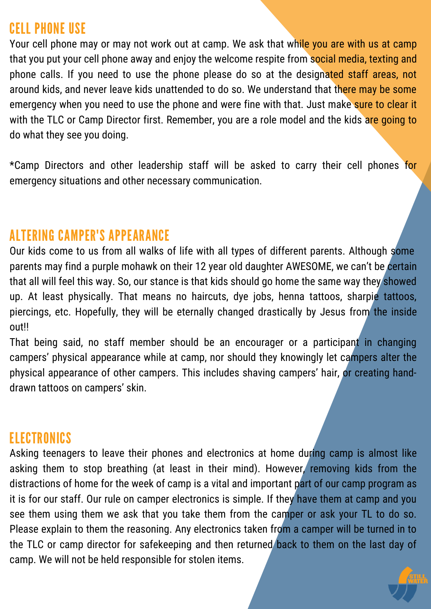#### CELL PHONE USE

Your cell phone may or may not work out at camp. We ask that while you are with us at camp that you put your cell phone away and enjoy the welcome respite from social media, texting and phone calls. If you need to use the phone please do so at the designated staff areas, not around kids, and never leave kids unattended to do so. We understand that there may be some emergency when you need to use the phone and were fine with that. Just make sure to clear it with the TLC or Camp Director first. Remember, you are a role model and the kids are going to do what they see you doing.

\*Camp Directors and other leadership staff will be asked to carry their cell phones for emergency situations and other necessary communication.

#### ALTERING CAMPER'S APPEARANCE

Our kids come to us from all walks of life with all types of different parents. Although some parents may find a purple mohawk on their 12 year old daughter AWESOME, we can't be certain that all will feel this way. So, our stance is that kids should go home the same way they showed up. At least physically. That means no haircuts, dye jobs, henna tattoos, sharpie tattoos, piercings, etc. Hopefully, they will be eternally changed drastically by Jesus from the inside out!!

That being said, no staff member should be an encourager or a participant in changing campers' physical appearance while at camp, nor should they knowingly let campers alter the physical appearance of other campers. This includes shaving campers' hair, or creating handdrawn tattoos on campers' skin.

#### ELECTRONICS

Asking teenagers to leave their phones and electronics at home during camp is almost like asking them to stop breathing (at least in their mind). However, removing kids from the distractions of home for the week of camp is a vital and important part of our camp program as it is for our staff. Our rule on camper electronics is simple. If they have them at camp and you see them using them we ask that you take them from the camper or ask your TL to do so. Please explain to them the reasoning. Any electronics taken from a camper will be turned in to the TLC or camp director for safekeeping and then returned back to them on the last day of camp. We will not be held responsible for stolen items.

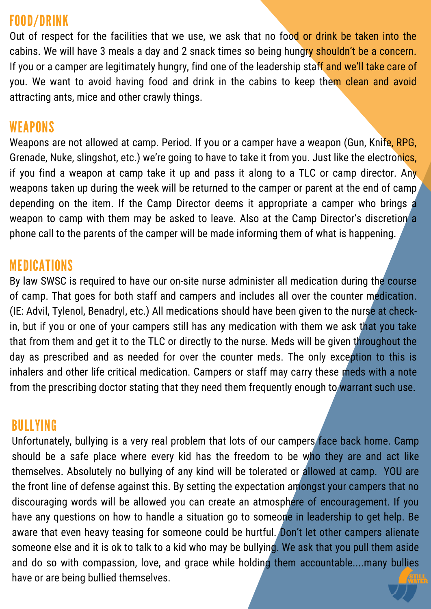#### FOOD/DRINK

Out of respect for the facilities that we use, we ask that no food or drink be taken into the cabins. We will have 3 meals a day and 2 snack times so being hungry shouldn't be a concern. If you or a camper are legitimately hungry, find one of the leadership staff and we'll take care of you. We want to avoid having food and drink in the cabins to keep them clean and avoid attracting ants, mice and other crawly things.

#### **WEAPONS**

Weapons are not allowed at camp. Period. If you or a camper have a weapon (Gun, Knife, RPG, Grenade, Nuke, slingshot, etc.) we're going to have to take it from you. Just like the electronics, if you find a weapon at camp take it up and pass it along to a TLC or camp director. Any weapons taken up during the week will be returned to the camper or parent at the end of camp, depending on the item. If the Camp Director deems it appropriate a camper who brings a weapon to camp with them may be asked to leave. Also at the Camp Director's discretion a phone call to the parents of the camper will be made informing them of what is happening.

#### MEDICATIONS

By law SWSC is required to have our on-site nurse administer all medication during the course of camp. That goes for both staff and campers and includes all over the counter medication. (IE: Advil, Tylenol, Benadryl, etc.) All medications should have been given to the nurse at checkin, but if you or one of your campers still has any medication with them we ask that you take that from them and get it to the TLC or directly to the nurse. Meds will be given throughout the day as prescribed and as needed for over the counter meds. The only exception to this is inhalers and other life critical medication. Campers or staff may carry these meds with a note from the prescribing doctor stating that they need them frequently enough to warrant such use.

#### BULLYING

Unfortunately, bullying is a very real problem that lots of our campers face back home. Camp should be a safe place where every kid has the freedom to be who they are and act like themselves. Absolutely no bullying of any kind will be tolerated or allowed at camp. YOU are the front line of defense against this. By setting the expectation amongst your campers that no discouraging words will be allowed you can create an atmosphere of encouragement. If you have any questions on how to handle a situation go to someone in leadership to get help. Be aware that even heavy teasing for someone could be hurtful. Don't let other campers alienate someone else and it is ok to talk to a kid who may be bullying. We ask that you pull them aside and do so with compassion, love, and grace while holding them accountable....many bullies have or are being bullied themselves.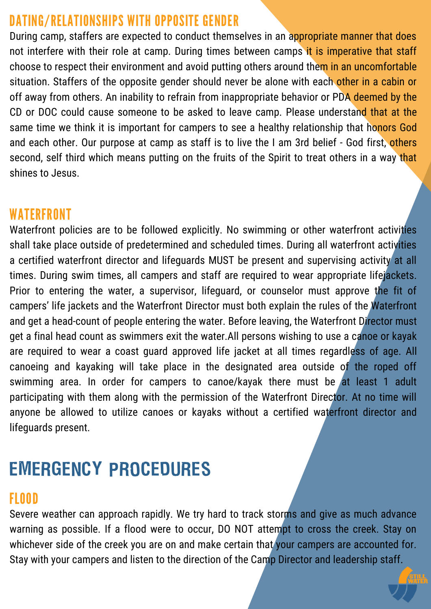## DATING/RELATIONSHIPS WITH OPPOSITE GENDER

During camp, staffers are expected to conduct themselves in an appropriate manner that does not interfere with their role at camp. During times between camps it is imperative that staff choose to respect their environment and avoid putting others around them in an uncomfortable situation. Staffers of the opposite gender should never be alone with each other in a cabin or off away from others. An inability to refrain from inappropriate behavior or PDA deemed by the CD or DOC could cause someone to be asked to leave camp. Please understand that at the same time we think it is important for campers to see a healthy relationship that honors God and each other. Our purpose at camp as staff is to live the I am 3rd belief - God first, others second, self third which means putting on the fruits of the Spirit to treat others in a way that shines to Jesus.

#### WATERFRONT

Waterfront policies are to be followed explicitly. No swimming or other waterfront activities shall take place outside of predetermined and scheduled times. During all waterfront activities a certified waterfront director and lifeguards MUST be present and supervising activity at all times. During swim times, all campers and staff are required to wear appropriate lifejackets. Prior to entering the water, a supervisor, lifeguard, or counselor must approve the fit of campers' life jackets and the Waterfront Director must both explain the rules of the Waterfront and get a head-count of people entering the water. Before leaving, the Waterfront Director must get a final head count as swimmers exit the water.All persons wishing to use a canoe or kayak are required to wear a coast guard approved life jacket at all times regardless of age. All canoeing and kayaking will take place in the designated area outside of the roped off swimming area. In order for campers to canoe/kayak there must be at least 1 adult participating with them along with the permission of the Waterfront Director. At no time will anyone be allowed to utilize canoes or kayaks without a certified waterfront director and lifeguards present.

# EMERGENCY PROCEDURES

#### FLOOD

Severe weather can approach rapidly. We try hard to track storms and give as much advance warning as possible. If a flood were to occur, DO NOT attempt to cross the creek. Stay on whichever side of the creek you are on and make certain that your campers are accounted for. Stay with your campers and listen to the direction of the Camp Director and leadership staff.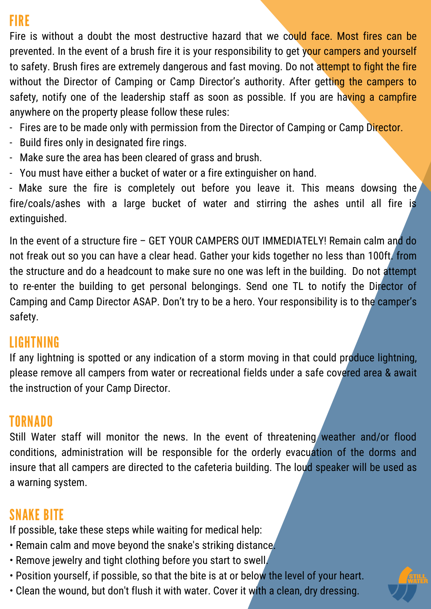## FIRE

Fire is without a doubt the most destructive hazard that we could face. Most fires can be prevented. In the event of a brush fire it is your responsibility to get your campers and yourself to safety. Brush fires are extremely dangerous and fast moving. Do not attempt to fight the fire without the Director of Camping or Camp Director's authority. After getting the campers to safety, notify one of the leadership staff as soon as possible. If you are having a campfire anywhere on the property please follow these rules:

- Fires are to be made only with permission from the Director of Camping or Camp Director.
- Build fires only in designated fire rings.
- Make sure the area has been cleared of grass and brush.
- You must have either a bucket of water or a fire extinguisher on hand.

- Make sure the fire is completely out before you leave it. This means dowsing the fire/coals/ashes with a large bucket of water and stirring the ashes until all fire is extinguished.

In the event of a structure fire – GET YOUR CAMPERS OUT IMMEDIATELY! Remain calm and do not freak out so you can have a clear head. Gather your kids together no less than 100ft. from the structure and do a headcount to make sure no one was left in the building. Do not attempt to re-enter the building to get personal belongings. Send one TL to notify the Director of Camping and Camp Director ASAP. Don't try to be a hero. Your responsibility is to the camper's safety.

#### LIGHTNING

If any lightning is spotted or any indication of a storm moving in that could produce lightning, please remove all campers from water or recreational fields under a safe covered area & await the instruction of your Camp Director.

## TORNADO

Still Water staff will monitor the news. In the event of threatening weather and/or flood conditions, administration will be responsible for the orderly evacuation of the dorms and insure that all campers are directed to the cafeteria building. The loud speaker will be used as a warning system.

# SNAKE BITE

If possible, take these steps while waiting for medical help:

- Remain calm and move beyond the snake's striking distance.
- Remove jewelry and tight clothing before you start to swell.
- Position yourself, if possible, so that the bite is at or below the level of your heart.
- Clean the wound, but don't flush it with water. Cover it with a clean, dry dressing.

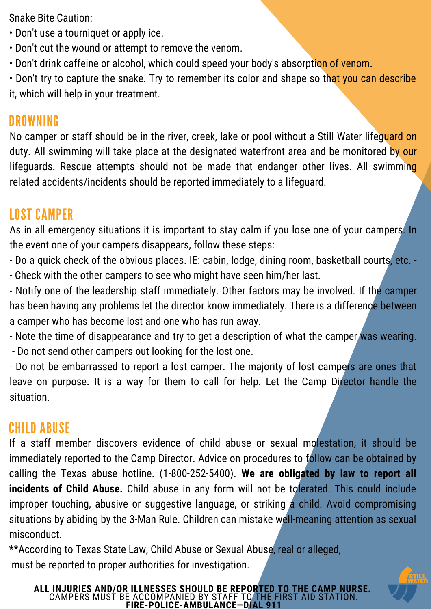Snake Bite Caution:

- Don't use a tourniquet or apply ice.
- Don't cut the wound or attempt to remove the venom.
- Don't drink caffeine or alcohol, which could speed your body's absorption of venom.

• Don't try to capture the snake. Try to remember its color and shape so that you can describe it, which will help in your treatment.

#### DROWNING

No camper or staff should be in the river, creek, lake or pool without a Still Water lifequard on duty. All swimming will take place at the designated waterfront area and be monitored by our lifeguards. Rescue attempts should not be made that endanger other lives. All swimming related accidents/incidents should be reported immediately to a lifeguard.

#### LOST CAMPER

As in all emergency situations it is important to stay calm if you lose one of your campers. In the event one of your campers disappears, follow these steps:

- Do a quick check of the obvious places. IE: cabin, lodge, dining room, basketball courts, etc. -

- Check with the other campers to see who might have seen him/her last.

- Notify one of the leadership staff immediately. Other factors may be involved. If the camper has been having any problems let the director know immediately. There is a difference between a camper who has become lost and one who has run away.

- Note the time of disappearance and try to get a description of what the camper was wearing. - Do not send other campers out looking for the lost one.

- Do not be embarrassed to report a lost camper. The majority of lost campers are ones that leave on purpose. It is a way for them to call for help. Let the Camp Director handle the situation.

#### CHILD ABUSE

If a staff member discovers evidence of child abuse or sexual molestation, it should be immediately reported to the Camp Director. Advice on procedures to follow can be obtained by calling the Texas abuse hotline. (1-800-252-5400). **We are obligated by law to report all incidents of Child Abuse.** Child abuse in any form will not be tolerated. This could include improper touching, abusive or suggestive language, or striking a child. Avoid compromising situations by abiding by the 3-Man Rule. Children can mistake well-meaning attention as sexual misconduct.

\*\*According to Texas State Law, Child Abuse or Sexual Abuse, real or alleged, must be reported to proper authorities for investigation.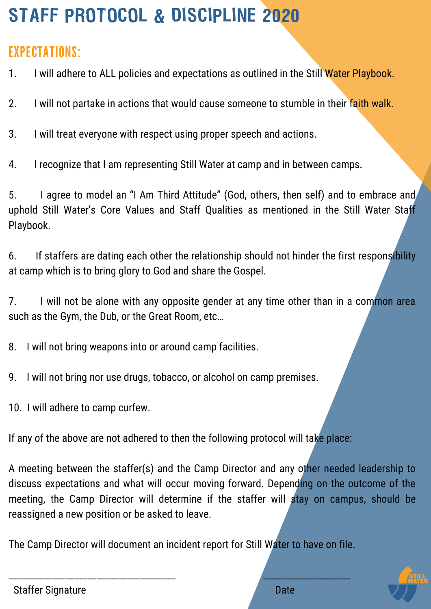# STAFF PROTOCOL & DISCIPLINE 2020

# EXPECTATIONS:

1. I will adhere to ALL policies and expectations as outlined in the Still Water Playbook.

- 2. I will not partake in actions that would cause someone to stumble in their faith walk.
- 3. I will treat everyone with respect using proper speech and actions.
- 4. I recognize that I am representing Still Water at camp and in between camps.

5. I agree to model an "I Am Third Attitude" (God, others, then self) and to embrace and uphold Still Water's Core Values and Staff Qualities as mentioned in the Still Water Staff Playbook.

6. If staffers are dating each other the relationship should not hinder the first responsibility at camp which is to bring glory to God and share the Gospel.

7. I will not be alone with any opposite gender at any time other than in a common area such as the Gym, the Dub, or the Great Room, etc…

8. I will not bring weapons into or around camp facilities.

- 9. I will not bring nor use drugs, tobacco, or alcohol on camp premises.
- 10. I will adhere to camp curfew.

If any of the above are not adhered to then the following protocol will take place:

A meeting between the staffer(s) and the Camp Director and any other needed leadership to discuss expectations and what will occur moving forward. Depending on the outcome of the meeting, the Camp Director will determine if the staffer will stay on campus, should be reassigned a new position or be asked to leave.

The Camp Director will document an incident report for Still Water to have on file.

\_\_\_\_\_\_\_\_\_\_\_\_\_\_\_\_\_\_\_\_\_\_\_\_\_\_\_\_\_\_\_\_\_\_\_\_\_\_ \_\_\_\_\_\_\_\_\_\_\_\_\_\_\_\_\_\_\_\_



Staffer Signature **Date**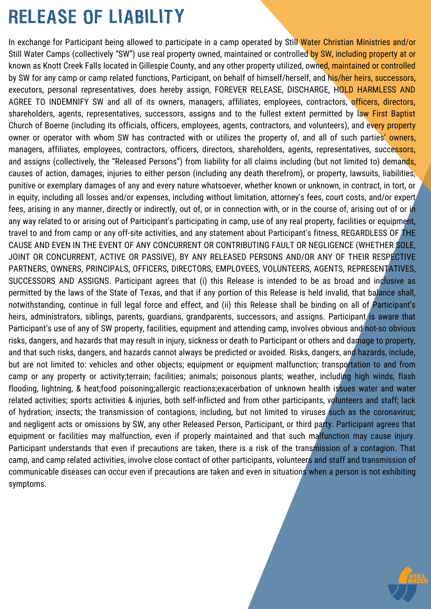# RELEASE OF LIABILITY

In exchange for Participant being allowed to participate in a camp operated by Still Water Christian Ministries and/or Still Water Camps (collectively "SW") use real property owned, maintained or controlled by SW, including property at or known as Knott Creek Falls located in Gillespie County, and any other property utilized, owned, maintained or controlled by SW for any camp or camp related functions, Participant, on behalf of himself/herself, and his/her heirs, successors, executors, personal representatives, does hereby assign, FOREVER RELEASE, DISCHARGE, HOLD HARMLESS AND AGREE TO INDEMNIFY SW and all of its owners, managers, affiliates, employees, contractors, officers, directors, shareholders, agents, representatives, successors, assigns and to the fullest extent permitted by law First Baptist Church of Boerne (including its officials, officers, employees, agents, contractors, and volunteers), and every property owner or operator with whom SW has contracted with or utilizes the property of, and all of such parties' owners, managers, affiliates, employees, contractors, officers, directors, shareholders, agents, representatives, successors, and assigns (collectively, the "Released Persons") from liability for all claims including (but not limited to) demands, causes of action, damages, injuries to either person (including any death therefrom), or property, lawsuits, liabilities, punitive or exemplary damages of any and every nature whatsoever, whether known or unknown, in contract, in tort, or in equity, including all losses and/or expenses, including without limitation, attorney's fees, court costs, and/or expert fees, arising in any manner, directly or indirectly, out of, or in connection with, or in the course of, arising out of or in any way related to or arising out of Participant's participating in camp, use of any real property, facilities or equipment, travel to and from camp or any off-site activities, and any statement about Participant's fitness, REGARDLESS OF THE CAUSE AND EVEN IN THE EVENT OF ANY CONCURRENT OR CONTRIBUTING FAULT OR NEGLIGENCE (WHETHER SOLE, JOINT OR CONCURRENT, ACTIVE OR PASSIVE), BY ANY RELEASED PERSONS AND/OR ANY OF THEIR RESPECTIVE PARTNERS, OWNERS, PRINCIPALS, OFFICERS, DIRECTORS, EMPLOYEES, VOLUNTEERS, AGENTS, REPRESENTATIVES, SUCCESSORS AND ASSIGNS. Participant agrees that (i) this Release is intended to be as broad and inclusive as permitted by the laws of the State of Texas, and that if any portion of this Release is held invalid, that balance shall, notwithstanding, continue in full legal force and effect, and (ii) this Release shall be binding on all of Participant's heirs, administrators, siblings, parents, quardians, grandparents, successors, and assigns. Participant is aware that Participant's use of any of SW property, facilities, equipment and attending camp, involves obvious and not-so obvious risks, dangers, and hazards that may result in injury, sickness or death to Participant or others and damage to property, and that such risks, dangers, and hazards cannot always be predicted or avoided. Risks, dangers, and hazards, include, but are not limited to: vehicles and other objects; equipment or equipment malfunction; transportation to and from camp or any property or activity;terrain; facilities; animals; poisonous plants; weather, including high winds, flash flooding, lightning, & heat;food poisoning;allergic reactions;exacerbation of unknown health issues water and water related activities; sports activities & injuries, both self-inflicted and from other participants, volunteers and staff; lack of hydration; insects; the transmission of contagions, including, but not limited to viruses such as the coronavirus; and negligent acts or omissions by SW, any other Released Person, Participant, or third party. Participant agrees that equipment or facilities may malfunction, even if properly maintained and that such malfunction may cause injury. Participant understands that even if precautions are taken, there is a risk of the transmission of a contagion. That camp, and camp related activities, involve close contact of other participants, volunteers and staff and transmission of communicable diseases can occur even if precautions are taken and even in situations when a person is not exhibiting symptoms.